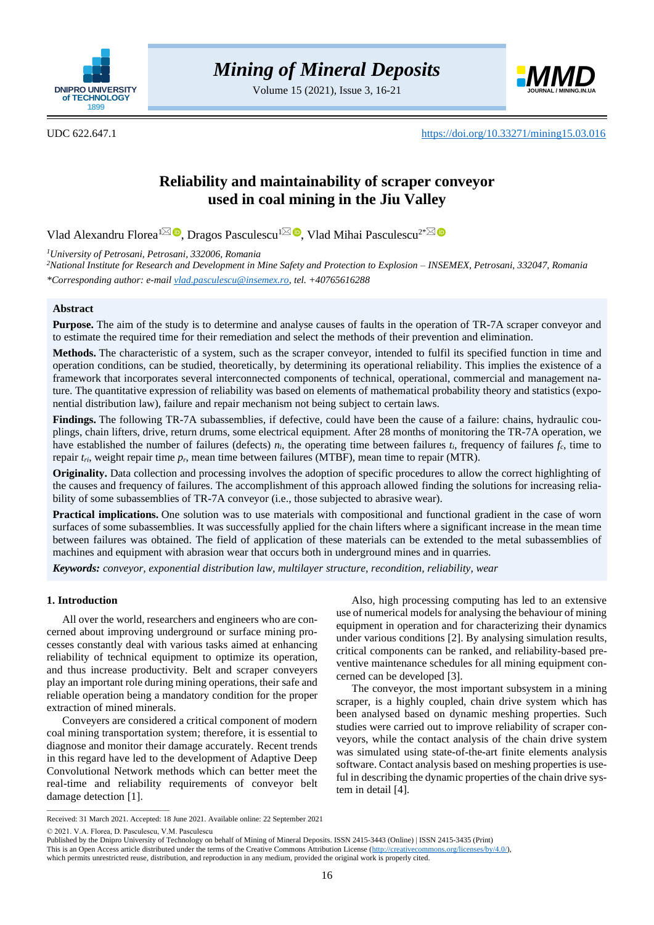

Volume 15 (2021), Issue 3, 16-21



UDC 622.647.1 <https://doi.org/10.33271/mining15.03.016>

# **Reliability and maintainability of scraper conveyor used in coal mining in the Jiu Valley**

Vlad Alexandru Florea<sup>[1](mailto:vladalexandruflorea@gmail.com)⊠</sup> D[,](https://orcid.org/0000-0003-4738-4374) Dragos Pasculescu<sup>1⊠</sup> D, Vlad Mihai Pasculescu<sup>2[\\*](mailto:vlad.pasculescu@insemex.ro)</sup>

*<sup>1</sup>University of Petrosani, Petrosani, 332006, Romania*

*<sup>2</sup>National Institute for Research and Development in Mine Safety and Protection to Explosion – INSEMEX, Petrosani, 332047, Romania \*Corresponding author: e-mai[l vlad.pasculescu@insemex.ro,](mailto:vlad.pasculescu@insemex.ro) tel. +40765616288*

# **Abstract**

**Purpose.** The aim of the study is to determine and analyse causes of faults in the operation of TR-7A scraper conveyor and to estimate the required time for their remediation and select the methods of their prevention and elimination.

**Methods.** The characteristic of a system, such as the scraper conveyor, intended to fulfil its specified function in time and operation conditions, can be studied, theoretically, by determining its operational reliability. This implies the existence of a framework that incorporates several interconnected components of technical, operational, commercial and management nature. The quantitative expression of reliability was based on elements of mathematical probability theory and statistics (exponential distribution law), failure and repair mechanism not being subject to certain laws.

**Findings.** The following TR-7A subassemblies, if defective, could have been the cause of a failure: chains, hydraulic couplings, chain lifters, drive, return drums, some electrical equipment. After 28 months of monitoring the TR-7A operation, we have established the number of failures (defects) *ni*, the operating time between failures *ti*, frequency of failures *fc*, time to repair *tri*, weight repair time *pr*, mean time between failures (MTBF), mean time to repair (MTR).

**Originality.** Data collection and processing involves the adoption of specific procedures to allow the correct highlighting of the causes and frequency of failures. The accomplishment of this approach allowed finding the solutions for increasing reliability of some subassemblies of TR-7A conveyor (i.e., those subjected to abrasive wear).

**Practical implications.** One solution was to use materials with compositional and functional gradient in the case of worn surfaces of some subassemblies. It was successfully applied for the chain lifters where a significant increase in the mean time between failures was obtained. The field of application of these materials can be extended to the metal subassemblies of machines and equipment with abrasion wear that occurs both in underground mines and in quarries.

*Keywords: conveyor, exponential distribution law, multilayer structure, recondition, reliability, wear*

## **1. Introduction**

All over the world, researchers and engineers who are concerned about improving underground or surface mining processes constantly deal with various tasks aimed at enhancing reliability of technical equipment to optimize its operation, and thus increase productivity. Belt and scraper conveyers play an important role during mining operations, their safe and reliable operation being a mandatory condition for the proper extraction of mined minerals.

Conveyers are considered a critical component of modern coal mining transportation system; therefore, it is essential to diagnose and monitor their damage accurately. Recent trends in this regard have led to the development of Adaptive Deep Convolutional Network methods which can better meet the real-time and reliability requirements of conveyor belt damage detection [1].

Also, high processing computing has led to an extensive use of numerical models for analysing the behaviour of mining equipment in operation and for characterizing their dynamics under various conditions [2]. By analysing simulation results, critical components can be ranked, and reliability-based preventive maintenance schedules for all mining equipment concerned can be developed [3].

**EXERCT ACTS CONSULTS CONSULTS CONSULTS**<br>
21), Issue 3, 16:21<br>
21), Issue 3, 16:21<br>
21), Issue 3, 16:21<br>
21) amongs and the proper conveyor convey of the signal of the secure conveys of the signal of the secure conveys of The conveyor, the most important subsystem in a mining scraper, is a highly coupled, chain drive system which has been analysed based on dynamic meshing properties. Such studies were carried out to improve reliability of scraper conveyors, while the contact analysis of the chain drive system was simulated using state-of-the-art finite elements analysis software. Contact analysis based on meshing properties is useful in describing the dynamic properties of the chain drive system in detail [4].

© 2021. V.A. Florea, D. Pasculescu, V.M. Pasculescu

 $\overline{\phantom{a}}$  , and the set of the set of the set of the set of the set of the set of the set of the set of the set of the set of the set of the set of the set of the set of the set of the set of the set of the set of the s

Received: 31 March 2021. Accepted: 18 June 2021. Available online: 22 September 2021

Published by the Dnipro University of Technology on behalf of Mining of Mineral Deposits. ISSN 2415-3443 (Online) | ISSN 2415-3435 (Print)

This is an Open Access article distributed under the terms of the Creative Commons Attribution License [\(http://creativecommons.org/licenses/by/4.0/\)](http://creativecommons.org/licenses/by/4.0/),

which permits unrestricted reuse, distribution, and reproduction in any medium, provided the original work is properly cited.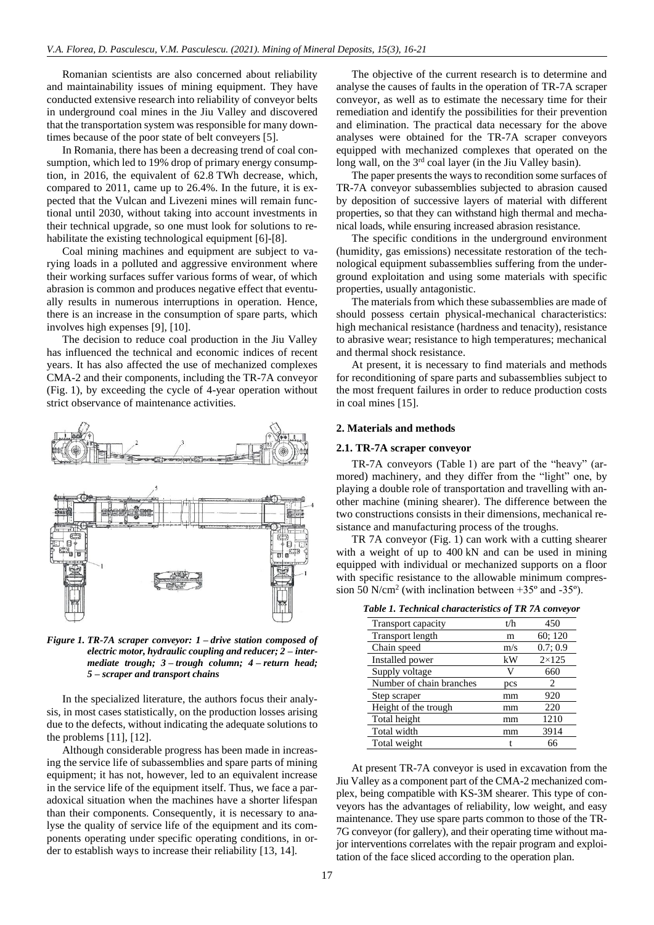Romanian scientists are also concerned about reliability and maintainability issues of mining equipment. They have conducted extensive research into reliability of conveyor belts in underground coal mines in the Jiu Valley and discovered that the transportation system was responsible for many downtimes because of the poor state of belt conveyers [5].

In Romania, there has been a decreasing trend of coal consumption, which led to 19% drop of primary energy consumption, in 2016, the equivalent of 62.8 TWh decrease, which, compared to 2011, came up to 26.4%. In the future, it is expected that the Vulcan and Livezeni mines will remain functional until 2030, without taking into account investments in their technical upgrade, so one must look for solutions to rehabilitate the existing technological equipment [6]-[8].

Coal mining machines and equipment are subject to varying loads in a polluted and aggressive environment where their working surfaces suffer various forms of wear, of which abrasion is common and produces negative effect that eventually results in numerous interruptions in operation. Hence, there is an increase in the consumption of spare parts, which involves high expenses [9], [10].

The decision to reduce coal production in the Jiu Valley has influenced the technical and economic indices of recent years. It has also affected the use of mechanized complexes CMA-2 and their components, including the TR-7A conveyor (Fig. 1), by exceeding the cycle of 4-year operation without strict observance of maintenance activities.



*Figure 1. TR-7A scraper conveyor: 1 – drive station composed of electric motor, hydraulic coupling and reducer; 2 – intermediate trough; 3 – trough column; 4 – return head; 5 – scraper and transport chains*

In the specialized literature, the authors focus their analysis, in most cases statistically, on the production losses arising due to the defects, without indicating the adequate solutions to the problems [11], [12].

Although considerable progress has been made in increasing the service life of subassemblies and spare parts of mining equipment; it has not, however, led to an equivalent increase in the service life of the equipment itself. Thus, we face a paradoxical situation when the machines have a shorter lifespan than their components. Consequently, it is necessary to analyse the quality of service life of the equipment and its components operating under specific operating conditions, in order to establish ways to increase their reliability [13, 14].

The objective of the current research is to determine and analyse the causes of faults in the operation of TR-7A scraper conveyor, as well as to estimate the necessary time for their remediation and identify the possibilities for their prevention and elimination. The practical data necessary for the above analyses were obtained for the TR-7A scraper conveyors equipped with mechanized complexes that operated on the long wall, on the 3<sup>rd</sup> coal layer (in the Jiu Valley basin).

The paper presents the ways to recondition some surfaces of TR-7A conveyor subassemblies subjected to abrasion caused by deposition of successive layers of material with different properties, so that they can withstand high thermal and mechanical loads, while ensuring increased abrasion resistance.

The specific conditions in the underground environment (humidity, gas emissions) necessitate restoration of the technological equipment subassemblies suffering from the underground exploitation and using some materials with specific properties, usually antagonistic.

The materials from which these subassemblies are made of should possess certain physical-mechanical characteristics: high mechanical resistance (hardness and tenacity), resistance to abrasive wear; resistance to high temperatures; mechanical and thermal shock resistance.

At present, it is necessary to find materials and methods for reconditioning of spare parts and subassemblies subject to the most frequent failures in order to reduce production costs in coal mines [15].

# **2. Materials and methods**

#### **2.1. TR-7A scraper conveyor**

TR-7A conveyors (Table 1) are part of the "heavy" (armored) machinery, and they differ from the "light" one, by playing a double role of transportation and travelling with another machine (mining shearer). The difference between the two constructions consists in their dimensions, mechanical resistance and manufacturing process of the troughs.

TR 7A conveyor (Fig. 1) can work with a cutting shearer with a weight of up to 400 kN and can be used in mining equipped with individual or mechanized supports on a floor with specific resistance to the allowable minimum compression 50 N/cm<sup>2</sup> (with inclination between  $+35^{\circ}$  and  $-35^{\circ}$ ).

*Table 1. Technical characteristics of TR 7A conveyor*

| Transport capacity       | t/h | 450                   |
|--------------------------|-----|-----------------------|
| <b>Transport length</b>  | m   | 60; 120               |
| Chain speed              | m/s | 0.7:0.9               |
| Installed power          | kW  | $2\times125$          |
| Supply voltage           |     | 660                   |
| Number of chain branches | pcs | $\mathcal{D}_{\cdot}$ |
| Step scraper             | mm  | 920                   |
| Height of the trough     | mm  | 220                   |
| Total height             | mm  | 1210                  |
| Total width              | mm  | 3914                  |
| Total weight             |     | 66                    |

At present TR-7A conveyor is used in excavation from the Jiu Valley as a component part of the CMA-2 mechanized complex, being compatible with KS-3M shearer. This type of conveyors has the advantages of reliability, low weight, and easy maintenance. They use spare parts common to those of the TR-7G conveyor (for gallery), and their operating time without major interventions correlates with the repair program and exploitation of the face sliced according to the operation plan.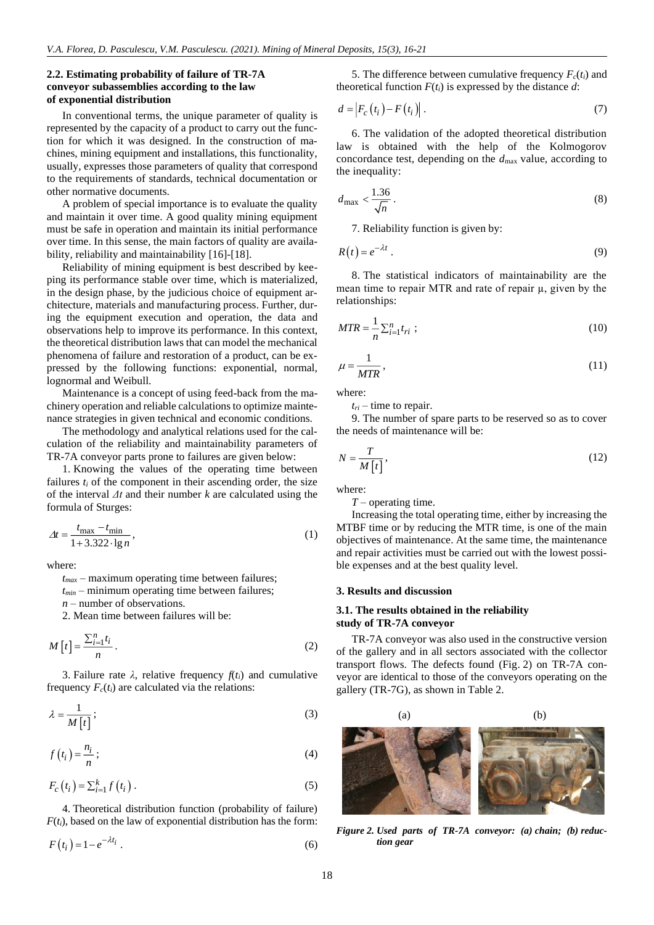# **2.2. Estimating probability of failure of TR-7A conveyor subassemblies according to the law of exponential distribution**

In conventional terms, the unique parameter of quality is represented by the capacity of a product to carry out the function for which it was designed. In the construction of machines, mining equipment and installations, this functionality, usually, expresses those parameters of quality that correspond to the requirements of standards, technical documentation or other normative documents.

A problem of special importance is to evaluate the quality and maintain it over time. A good quality mining equipment must be safe in operation and maintain its initial performance over time. In this sense, the main factors of quality are availability, reliability and maintainability [16]-[18].

Reliability of mining equipment is best described by keeping its performance stable over time, which is materialized, in the design phase, by the judicious choice of equipment architecture, materials and manufacturing process. Further, during the equipment execution and operation, the data and observations help to improve its performance. In this context, the theoretical distribution laws that can model the mechanical phenomena of failure and restoration of a product, can be expressed by the following functions: exponential, normal, lognormal and Weibull.

Maintenance is a concept of using feed-back from the machinery operation and reliable calculations to optimize maintenance strategies in given technical and economic conditions.

The methodology and analytical relations used for the calculation of the reliability and maintainability parameters of TR-7A conveyor parts prone to failures are given below:

1. Knowing the values of the operating time between failures  $t_i$  of the component in their ascending order, the size of the interval *Δt* and their number *k* are calculated using the formula of Sturges:

$$
\Delta t = \frac{t_{\text{max}} - t_{\text{min}}}{1 + 3.322 \cdot \lg n},\tag{1}
$$

where:

*tmax* – maximum operating time between failures;

*tmin* – minimum operating time between failures;

*n* – number of observations.

2. Mean time between failures will be:

$$
M[t] = \frac{\sum_{i=1}^{n} t_i}{n} \,. \tag{2}
$$

3. Failure rate  $\lambda$ , relative frequency  $f(t_i)$  and cumulative frequency  $F_c(t_i)$  are calculated via the relations:

$$
\lambda = \frac{1}{M\left[t\right]} \tag{3}
$$

$$
f(t_i) = \frac{n_i}{n};
$$
\n(4)

$$
F_c(t_i) = \sum_{i=1}^{k} f(t_i).
$$
\n<sup>(5)</sup>

4. Theoretical distribution function (probability of failure)  $F(t_i)$ , based on the law of exponential distribution has the form:

$$
F(t_i) = 1 - e^{-\lambda t_i} \tag{6}
$$

5. The difference between cumulative frequency  $F_c(t_i)$  and theoretical function  $F(t_i)$  is expressed by the distance  $d$ :

$$
d = |F_c(t_i) - F(t_i)|. \tag{7}
$$

6. The validation of the adopted theoretical distribution law is obtained with the help of the Kolmogorov concordance test, depending on the *d*max value, according to the inequality:

$$
d_{\max} < \frac{1.36}{\sqrt{n}} \,. \tag{8}
$$

7. Reliability function is given by:

$$
R(t) = e^{-\lambda t} \,. \tag{9}
$$

8. The statistical indicators of maintainability are the mean time to repair MTR and rate of repair  $\mu$ , given by the relationships:

$$
MTR = \frac{1}{n} \sum_{i=1}^{n} t_{ri} ; \qquad (10)
$$

$$
\mu = \frac{1}{MTR},\tag{11}
$$

where:

 $t_{ri}$  – time to repair.

9. The number of spare parts to be reserved so as to cover the needs of maintenance will be:

$$
N = \frac{T}{M\left[t\right]},\tag{12}
$$

where:

*T* – operating time.

Increasing the total operating time, either by increasing the MTBF time or by reducing the MTR time, is one of the main objectives of maintenance. At the same time, the maintenance and repair activities must be carried out with the lowest possible expenses and at the best quality level.

#### **3. Results and discussion**

# **3.1. The results obtained in the reliability study of TR-7A conveyor**

TR-7A conveyor was also used in the constructive version of the gallery and in all sectors associated with the collector transport flows. The defects found (Fig. 2) on TR-7A conveyor are identical to those of the conveyors operating on the gallery (TR-7G), as shown in Table 2.

(a) (b)

*Figure 2. Used parts of TR-7A conveyor: (a) chain; (b) reduction gear*

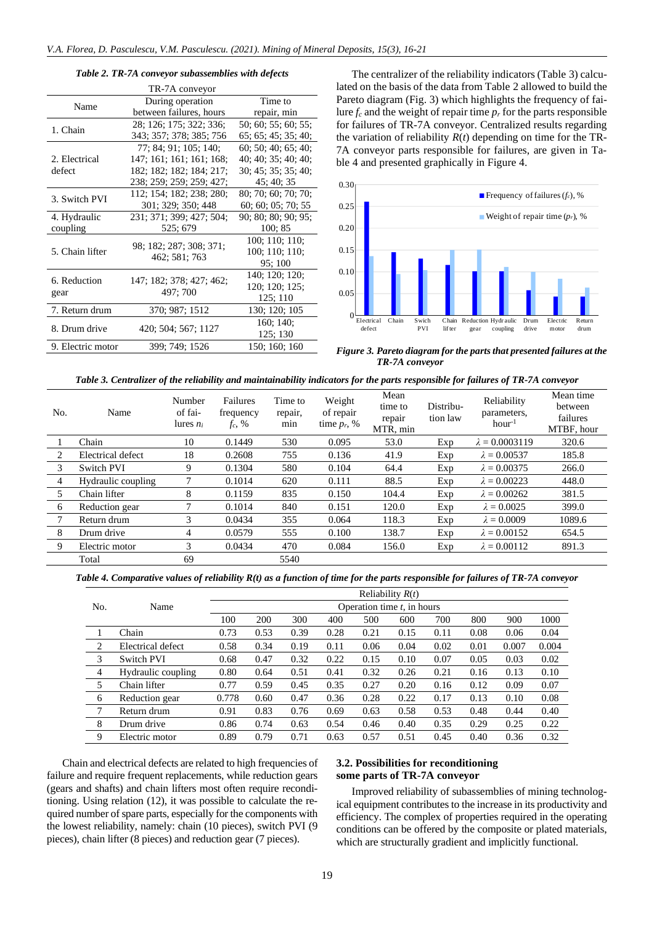#### *Table 2. TR-7A conveyor subassemblies with defects*

| TR-7A conveyor    |                          |                     |  |  |  |  |  |
|-------------------|--------------------------|---------------------|--|--|--|--|--|
| Name              | During operation         | Time to             |  |  |  |  |  |
|                   | between failures, hours  | repair, min         |  |  |  |  |  |
| 1. Chain          | 28; 126; 175; 322; 336;  | 50; 60; 55; 60; 55; |  |  |  |  |  |
|                   | 343; 357; 378; 385; 756  | 65; 65; 45; 35; 40; |  |  |  |  |  |
|                   | 77: 84: 91: 105: 140:    | 60; 50; 40; 65; 40; |  |  |  |  |  |
| 2. Electrical     | 147; 161; 161; 161; 168; | 40; 40; 35; 40; 40; |  |  |  |  |  |
| defect            | 182; 182; 182; 184; 217; | 30; 45; 35; 35; 40; |  |  |  |  |  |
|                   | 238; 259; 259; 259; 427; | 45: 40: 35          |  |  |  |  |  |
| 3. Switch PVI     | 112; 154; 182; 238; 280; | 80; 70; 60; 70; 70; |  |  |  |  |  |
|                   | 301; 329; 350; 448       | 60; 60; 05; 70; 55  |  |  |  |  |  |
| 4. Hydraulic      | 231; 371; 399; 427; 504; | 90; 80; 80; 90; 95; |  |  |  |  |  |
| coupling          | 525; 679                 | 100; 85             |  |  |  |  |  |
|                   | 98; 182; 287; 308; 371;  | 100; 110; 110;      |  |  |  |  |  |
| 5. Chain lifter   | 462; 581; 763            | 100; 110; 110;      |  |  |  |  |  |
|                   |                          | 95:100              |  |  |  |  |  |
| 6. Reduction      | 147; 182; 378; 427; 462; | 140; 120; 120;      |  |  |  |  |  |
|                   |                          | 120; 120; 125;      |  |  |  |  |  |
| gear              | 497; 700                 | 125; 110            |  |  |  |  |  |
| 7. Return drum    | 370; 987; 1512           | 130; 120; 105       |  |  |  |  |  |
| 8. Drum drive     | 420; 504; 567; 1127      | 160; 140;           |  |  |  |  |  |
|                   |                          | 125; 130            |  |  |  |  |  |
| 9. Electric motor | 399; 749; 1526           | 150; 160; 160       |  |  |  |  |  |

The centralizer of the reliability indicators (Table 3) calculated on the basis of the data from Table 2 allowed to build the Pareto diagram (Fig. 3) which highlights the frequency of failure  $f_c$  and the weight of repair time  $p_r$  for the parts responsible for failures of TR-7A conveyor. Centralized results regarding the variation of reliability  $R(t)$  depending on time for the TR-7A conveyor parts responsible for failures, are given in Table 4 and presented graphically in Figure 4.



*Figure 3. Pareto diagram for the parts that presented failures at the TR-7A conveyor*

| Table 3. Centralizer of the reliability and maintainability indicators for the parts responsible for failures of TR-7A conveyor |  |  |
|---------------------------------------------------------------------------------------------------------------------------------|--|--|
|---------------------------------------------------------------------------------------------------------------------------------|--|--|

| No. | Name               | <b>Number</b><br>of fai-<br>lures $n_i$ | Failures<br>frequency<br>$f_c, %$ | Time to<br>repair,<br>min | Weight<br>of repair<br>time $p_r$ , % | Mean<br>time to<br>repair<br>MTR, min | Distribu-<br>tion law | Reliability<br>parameters,<br>$hour-1$ | Mean time<br>between<br>failures<br>MTBF, hour |  |
|-----|--------------------|-----------------------------------------|-----------------------------------|---------------------------|---------------------------------------|---------------------------------------|-----------------------|----------------------------------------|------------------------------------------------|--|
|     | Chain              | 10                                      | 0.1449                            | 530                       | 0.095                                 | 53.0                                  | Exp                   | $\lambda = 0.0003119$                  | 320.6                                          |  |
| 2   | Electrical defect  | 18                                      | 0.2608                            | 755                       | 0.136                                 | 41.9                                  | Exp                   | $\lambda = 0.00537$                    | 185.8                                          |  |
| 3   | Switch PVI         | 9                                       | 0.1304                            | 580                       | 0.104                                 | 64.4                                  | Exp                   | $\lambda = 0.00375$                    | 266.0                                          |  |
| 4   | Hydraulic coupling |                                         | 0.1014                            | 620                       | 0.111                                 | 88.5                                  | Exp                   | $\lambda = 0.00223$                    | 448.0                                          |  |
| 5   | Chain lifter       | 8                                       | 0.1159                            | 835                       | 0.150                                 | 104.4                                 | Exp                   | $\lambda = 0.00262$                    | 381.5                                          |  |
| 6   | Reduction gear     |                                         | 0.1014                            | 840                       | 0.151                                 | 120.0                                 | Exp                   | $\lambda = 0.0025$                     | 399.0                                          |  |
|     | Return drum        | 3                                       | 0.0434                            | 355                       | 0.064                                 | 118.3                                 | Exp                   | $\lambda = 0.0009$                     | 1089.6                                         |  |
| 8   | Drum drive         | 4                                       | 0.0579                            | 555                       | 0.100                                 | 138.7                                 | Exp                   | $\lambda = 0.00152$                    | 654.5                                          |  |
| 9   | Electric motor     | 3                                       | 0.0434                            | 470                       | 0.084                                 | 156.0                                 | Exp                   | $\lambda = 0.00112$                    | 891.3                                          |  |
|     | Total              | 69                                      |                                   | 5540                      |                                       |                                       |                       |                                        |                                                |  |

*Table 4. Comparative values of reliability R(t) as a function of time for the parts responsible for failures of TR-7A conveyor*

|                |                    | Reliability $R(t)$<br>Operation time $t$ , in hours |      |      |      |      |      |      |      |       |       |
|----------------|--------------------|-----------------------------------------------------|------|------|------|------|------|------|------|-------|-------|
| No.            | Name               |                                                     |      |      |      |      |      |      |      |       |       |
|                |                    | 100                                                 | 200  | 300  | 400  | 500  | 600  | 700  | 800  | 900   | 1000  |
|                | Chain              | 0.73                                                | 0.53 | 0.39 | 0.28 | 0.21 | 0.15 | 0.11 | 0.08 | 0.06  | 0.04  |
| 2              | Electrical defect  | 0.58                                                | 0.34 | 0.19 | 0.11 | 0.06 | 0.04 | 0.02 | 0.01 | 0.007 | 0.004 |
| 3              | Switch PVI         | 0.68                                                | 0.47 | 0.32 | 0.22 | 0.15 | 0.10 | 0.07 | 0.05 | 0.03  | 0.02  |
| $\overline{4}$ | Hydraulic coupling | 0.80                                                | 0.64 | 0.51 | 0.41 | 0.32 | 0.26 | 0.21 | 0.16 | 0.13  | 0.10  |
| 5              | Chain lifter       | 0.77                                                | 0.59 | 0.45 | 0.35 | 0.27 | 0.20 | 0.16 | 0.12 | 0.09  | 0.07  |
| 6              | Reduction gear     | 0.778                                               | 0.60 | 0.47 | 0.36 | 0.28 | 0.22 | 0.17 | 0.13 | 0.10  | 0.08  |
| 7              | Return drum        | 0.91                                                | 0.83 | 0.76 | 0.69 | 0.63 | 0.58 | 0.53 | 0.48 | 0.44  | 0.40  |
| 8              | Drum drive         | 0.86                                                | 0.74 | 0.63 | 0.54 | 0.46 | 0.40 | 0.35 | 0.29 | 0.25  | 0.22  |
| 9              | Electric motor     | 0.89                                                | 0.79 | 0.71 | 0.63 | 0.57 | 0.51 | 0.45 | 0.40 | 0.36  | 0.32  |

Chain and electrical defects are related to high frequencies of failure and require frequent replacements, while reduction gears (gears and shafts) and chain lifters most often require reconditioning. Using relation (12), it was possible to calculate the required number of spare parts, especially for the components with the lowest reliability, namely: chain (10 pieces), switch PVI (9 pieces), chain lifter (8 pieces) and reduction gear (7 pieces).

# **3.2. Possibilities for reconditioning some parts of TR-7A conveyor**

Improved reliability of subassemblies of mining technological equipment contributes to the increase in its productivity and efficiency. The complex of properties required in the operating conditions can be offered by the composite or plated materials, which are structurally gradient and implicitly functional.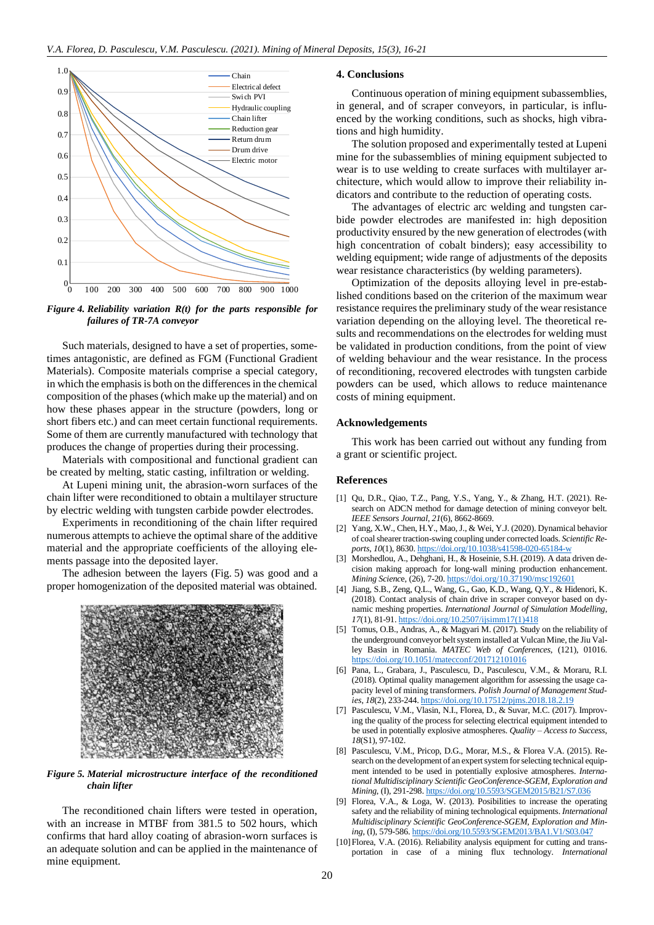

*Figure 4. Reliability variation R(t) for the parts responsible for failures of TR-7A conveyor*

Such materials, designed to have a set of properties, sometimes antagonistic, are defined as FGM (Functional Gradient Materials). Composite materials comprise a special category, in which the emphasis is both on the differences in the chemical composition of the phases (which make up the material) and on how these phases appear in the structure (powders, long or short fibers etc.) and can meet certain functional requirements. Some of them are currently manufactured with technology that produces the change of properties during their processing.

Materials with compositional and functional gradient can be created by melting, static casting, infiltration or welding.

At Lupeni mining unit, the abrasion-worn surfaces of the chain lifter were reconditioned to obtain a multilayer structure by electric welding with tungsten carbide powder electrodes.

Experiments in reconditioning of the chain lifter required numerous attempts to achieve the optimal share of the additive material and the appropriate coefficients of the alloying elements passage into the deposited layer.

The adhesion between the layers (Fig. 5) was good and a proper homogenization of the deposited material was obtained.



## *Figure 5. Material microstructure interface of the reconditioned chain lifter*

The reconditioned chain lifters were tested in operation, with an increase in MTBF from 381.5 to 502 hours, which confirms that hard alloy coating of abrasion-worn surfaces is an adequate solution and can be applied in the maintenance of mine equipment.

## **4. Conclusions**

Continuous operation of mining equipment subassemblies, in general, and of scraper conveyors, in particular, is influenced by the working conditions, such as shocks, high vibrations and high humidity.

The solution proposed and experimentally tested at Lupeni mine for the subassemblies of mining equipment subjected to wear is to use welding to create surfaces with multilayer architecture, which would allow to improve their reliability indicators and contribute to the reduction of operating costs.

The advantages of electric arc welding and tungsten carbide powder electrodes are manifested in: high deposition productivity ensured by the new generation of electrodes (with high concentration of cobalt binders); easy accessibility to welding equipment; wide range of adjustments of the deposits wear resistance characteristics (by welding parameters).

Optimization of the deposits alloying level in pre-established conditions based on the criterion of the maximum wear resistance requires the preliminary study of the wear resistance variation depending on the alloying level. The theoretical results and recommendations on the electrodes for welding must be validated in production conditions, from the point of view of welding behaviour and the wear resistance. In the process of reconditioning, recovered electrodes with tungsten carbide powders can be used, which allows to reduce maintenance costs of mining equipment.

#### **Acknowledgements**

This work has been carried out without any funding from a grant or scientific project.

## **References**

- [1] Qu, D.R., Qiao, T.Z., Pang, Y.S., Yang, Y., & Zhang, H.T. (2021). Research on ADCN method for damage detection of mining conveyor belt. *IEEE Sensors Journal*, *21*(6), 8662-8669.
- [2] Yang, X.W., Chen, H.Y., Mao, J., & Wei, Y.J. (2020). Dynamical behavior of coal shearer traction-swing coupling under corrected loads. *Scientific Reports*, *10*(1), 8630. <https://doi.org/10.1038/s41598-020-65184-w>
- [3] Morshedlou, A., Dehghani, H., & Hoseinie, S.H. (2019). A data driven decision making approach for long-wall mining production enhancement. *Mining Scienc*e, (26), 7-20. <https://doi.org/10.37190/msc192601>
- [4] Jiang, S.B., Zeng, Q.L., Wang, G., Gao, K.D., Wang, Q.Y., & Hidenori, K. (2018). Contact analysis of chain drive in scraper conveyor based on dynamic meshing properties. *International Journal of Simulation Modelling*, *17*(1), 81-91. [https://doi.org/10.2507/ijsimm17\(1\)418](https://doi.org/10.2507/ijsimm17(1)418)
- [5] Tomus, O.B., Andras, A., & Magyari M. (2017). Study on the reliability of the underground conveyor belt system installed at Vulcan Mine, the Jiu Valley Basin in Romania. *MATEC Web of Conferences*, (121), 01016. <https://doi.org/10.1051/matecconf/201712101016>
- [6] Pana, L., Grabara, J., Pasculescu, D., Pasculescu, V.M., & Moraru, R.I. (2018). Optimal quality management algorithm for assessing the usage capacity level of mining transformers. *Polish Journal of Management Studies*, *18*(2), 233-244. <https://doi.org/10.17512/pjms.2018.18.2.19>
- [7] Pasculescu, V.M., Vlasin, N.I., Florea, D., & Suvar, M.C. (2017). Improving the quality of the process for selecting electrical equipment intended to be used in potentially explosive atmospheres. *Quality – Access to Success*, *18*(S1), 97-102.
- [8] Pasculescu, V.M., Pricop, D.G., Morar, M.S., & Florea V.A. (2015). Research on the development of an expert system for selecting technical equipment intended to be used in potentially explosive atmospheres. *International Multidisciplinary Scientific GeoConference-SGEM, Exploration and Mining*, (I), 291-298. <https://doi.org/10.5593/SGEM2015/B21/S7.036>
- [9] Florea, V.A., & Loga, W. (2013). Posibilities to increase the operating safety and the reliability of mining technological equipments. *International Multidisciplinary Scientific GeoConference-SGEM, Exploration and Mining*, (I), 579-586. <https://doi.org/10.5593/SGEM2013/BA1.V1/S03.047>
- [10]Florea, V.A. (2016). Reliability analysis equipment for cutting and transportation in case of a mining flux technology. *International*